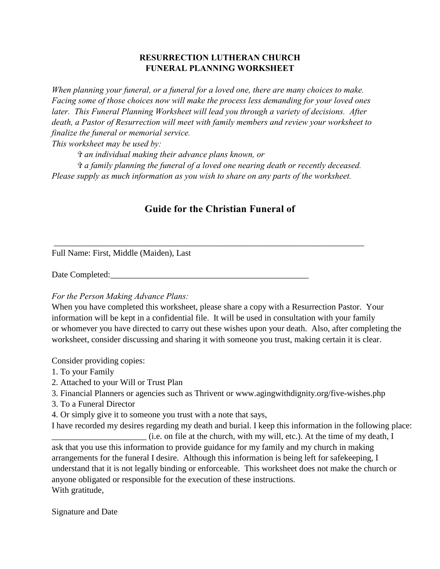## **RESURRECTION LUTHERAN CHURCH FUNERAL PLANNING WORKSHEET**

*When planning your funeral, or a funeral for a loved one, there are many choices to make. Facing some of those choices now will make the process less demanding for your loved ones later. This Funeral Planning Worksheet will lead you through a variety of decisions. After death, a Pastor of Resurrection will meet with family members and review your worksheet to finalize the funeral or memorial service.*

*This worksheet may be used by:*

*\_ an individual making their advance plans known, or*

*\_ a family planning the funeral of a loved one nearing death or recently deceased. Please supply as much information as you wish to share on any parts of the worksheet.*

\_\_\_\_\_\_\_\_\_\_\_\_\_\_\_\_\_\_\_\_\_\_\_\_\_\_\_\_\_\_\_\_\_\_\_\_\_\_\_\_\_\_\_\_\_\_\_\_\_\_\_\_\_\_\_\_\_\_\_\_\_\_\_\_\_\_\_\_\_\_\_\_

## **Guide for the Christian Funeral of**

Full Name: First, Middle (Maiden), Last

Date Completed:\_\_\_\_\_\_\_\_\_\_\_\_\_\_\_\_\_\_\_\_\_\_\_\_\_\_\_\_\_\_\_\_\_\_\_\_\_\_\_\_\_\_\_\_\_\_

### *For the Person Making Advance Plans:*

When you have completed this worksheet, please share a copy with a Resurrection Pastor. Your information will be kept in a confidential file. It will be used in consultation with your family or whomever you have directed to carry out these wishes upon your death. Also, after completing the worksheet, consider discussing and sharing it with someone you trust, making certain it is clear.

Consider providing copies:

- 1. To your Family
- 2. Attached to your Will or Trust Plan
- 3. Financial Planners or agencies such as Thrivent or www.agingwithdignity.org/five-wishes.php
- 3. To a Funeral Director
- 4. Or simply give it to someone you trust with a note that says,

I have recorded my desires regarding my death and burial. I keep this information in the following place: \_\_\_\_\_\_\_\_\_\_\_\_\_\_\_\_\_\_\_\_\_\_ (i.e. on file at the church, with my will, etc.). At the time of my death, I ask that you use this information to provide guidance for my family and my church in making arrangements for the funeral I desire. Although this information is being left for safekeeping, I understand that it is not legally binding or enforceable. This worksheet does not make the church or anyone obligated or responsible for the execution of these instructions. With gratitude,

Signature and Date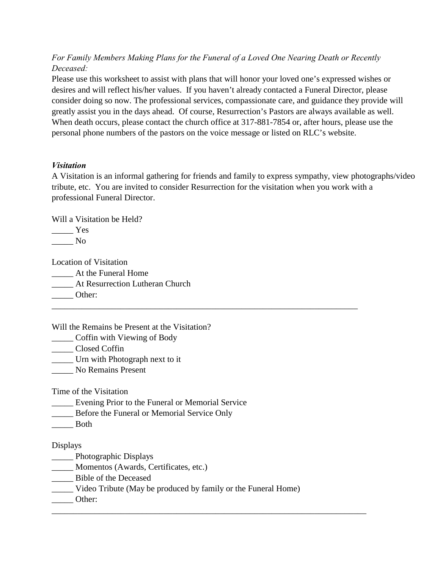*For Family Members Making Plans for the Funeral of a Loved One Nearing Death or Recently Deceased:*

Please use this worksheet to assist with plans that will honor your loved one's expressed wishes or desires and will reflect his/her values. If you haven't already contacted a Funeral Director, please consider doing so now. The professional services, compassionate care, and guidance they provide will greatly assist you in the days ahead. Of course, Resurrection's Pastors are always available as well. When death occurs, please contact the church office at 317-881-7854 or, after hours, please use the personal phone numbers of the pastors on the voice message or listed on RLC's website.

## *Visitation*

A Visitation is an informal gathering for friends and family to express sympathy, view photographs/video tribute, etc. You are invited to consider Resurrection for the visitation when you work with a professional Funeral Director.

\_\_\_\_\_\_\_\_\_\_\_\_\_\_\_\_\_\_\_\_\_\_\_\_\_\_\_\_\_\_\_\_\_\_\_\_\_\_\_\_\_\_\_\_\_\_\_\_\_\_\_\_\_\_\_\_\_\_\_\_\_\_\_\_\_\_\_\_\_\_\_

Will a Visitation be Held?

 $\frac{1}{\sqrt{1-\frac{1}{2}}\cos \theta}$ \_\_\_\_\_ No

Location of Visitation \_\_\_\_\_ At the Funeral Home \_\_\_\_\_ At Resurrection Lutheran Church Other:

Will the Remains be Present at the Visitation?

\_\_\_\_\_ Coffin with Viewing of Body

\_\_\_\_\_ Closed Coffin

\_\_\_\_\_ Urn with Photograph next to it

\_\_\_\_\_ No Remains Present

Time of the Visitation

Evening Prior to the Funeral or Memorial Service

\_\_\_\_\_ Before the Funeral or Memorial Service Only

\_\_\_\_\_ Both

Displays

\_\_\_\_\_ Photographic Displays

Momentos (Awards, Certificates, etc.)

\_\_\_\_\_ Bible of the Deceased

\_\_\_\_\_ Video Tribute (May be produced by family or the Funeral Home)

\_\_\_\_\_\_\_\_\_\_\_\_\_\_\_\_\_\_\_\_\_\_\_\_\_\_\_\_\_\_\_\_\_\_\_\_\_\_\_\_\_\_\_\_\_\_\_\_\_\_\_\_\_\_\_\_\_\_\_\_\_\_\_\_\_\_\_\_\_\_\_\_\_

\_\_\_\_\_ Other: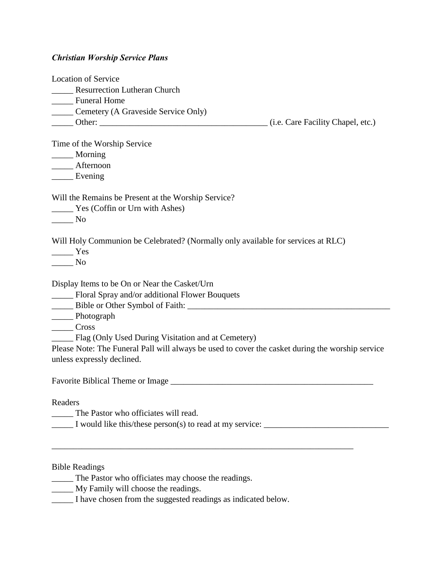# *Christian Worship Service Plans*

| <b>Location of Service</b>                                                                       |                                   |
|--------------------------------------------------------------------------------------------------|-----------------------------------|
| <b>Resurrection Lutheran Church</b><br>$\mathcal{L}^{\text{max}}$                                |                                   |
| <b>Euneral Home</b>                                                                              |                                   |
| _______ Cemetery (A Graveside Service Only)                                                      |                                   |
|                                                                                                  | (i.e. Care Facility Chapel, etc.) |
|                                                                                                  |                                   |
| Time of the Worship Service                                                                      |                                   |
| _____ Morning                                                                                    |                                   |
| ____ Afternoon                                                                                   |                                   |
| $\frac{1}{2}$ Evening                                                                            |                                   |
| Will the Remains be Present at the Worship Service?                                              |                                   |
| Yes (Coffin or Urn with Ashes)                                                                   |                                   |
| $\overline{\phantom{1}}$ No                                                                      |                                   |
| Will Holy Communion be Celebrated? (Normally only available for services at RLC)<br>Yes          |                                   |
| N <sub>0</sub>                                                                                   |                                   |
|                                                                                                  |                                   |
| Display Items to be On or Near the Casket/Urn                                                    |                                   |
| Floral Spray and/or additional Flower Bouquets                                                   |                                   |
|                                                                                                  |                                   |
| _____ Photograph                                                                                 |                                   |
| $\frac{1}{\sqrt{1-\frac{1}{2}}\cos\theta}$                                                       |                                   |
| Flag (Only Used During Visitation and at Cemetery)                                               |                                   |
| Please Note: The Funeral Pall will always be used to cover the casket during the worship service |                                   |
| unless expressly declined.                                                                       |                                   |
|                                                                                                  |                                   |
| Readers                                                                                          |                                   |
| The Pastor who officiates will read.                                                             |                                   |
| I would like this/these person(s) to read at my service: _______________________                 |                                   |
|                                                                                                  |                                   |
| <b>Bible Readings</b>                                                                            |                                   |
| The Pastor who officiates may choose the readings.                                               |                                   |
| My Family will choose the readings.                                                              |                                   |
|                                                                                                  |                                   |

\_\_\_\_\_ I have chosen from the suggested readings as indicated below.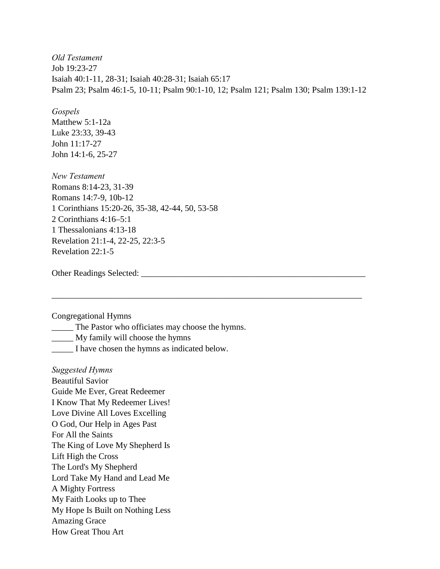*Old Testament* Job 19:23-27 Isaiah 40:1-11, 28-31; Isaiah 40:28-31; Isaiah 65:17 Psalm 23; Psalm 46:1-5, 10-11; Psalm 90:1-10, 12; Psalm 121; Psalm 130; Psalm 139:1-12

\_\_\_\_\_\_\_\_\_\_\_\_\_\_\_\_\_\_\_\_\_\_\_\_\_\_\_\_\_\_\_\_\_\_\_\_\_\_\_\_\_\_\_\_\_\_\_\_\_\_\_\_\_\_\_\_\_\_\_\_\_\_\_\_\_\_\_\_\_\_\_\_

*Gospels* Matthew 5:1-12a Luke 23:33, 39-43 John 11:17-27 John 14:1-6, 25-27

*New Testament* Romans 8:14-23, 31-39 Romans 14:7-9, 10b-12 1 Corinthians 15:20-26, 35-38, 42-44, 50, 53-58 2 Corinthians 4:16–5:1 1 Thessalonians 4:13-18 Revelation 21:1-4, 22-25, 22:3-5 Revelation 22:1-5

Other Readings Selected: \_\_\_\_\_\_\_\_\_\_\_\_\_\_\_\_\_\_\_\_\_\_\_\_\_\_\_\_\_\_\_\_\_\_\_\_\_\_\_\_\_\_\_\_\_\_\_\_\_\_\_\_

Congregational Hymns

\_\_\_\_\_ The Pastor who officiates may choose the hymns.

\_\_\_\_\_ My family will choose the hymns

\_\_\_\_\_ I have chosen the hymns as indicated below.

*Suggested Hymns* Beautiful Savior Guide Me Ever, Great Redeemer I Know That My Redeemer Lives! Love Divine All Loves Excelling O God, Our Help in Ages Past For All the Saints The King of Love My Shepherd Is Lift High the Cross The Lord's My Shepherd Lord Take My Hand and Lead Me A Mighty Fortress My Faith Looks up to Thee My Hope Is Built on Nothing Less Amazing Grace How Great Thou Art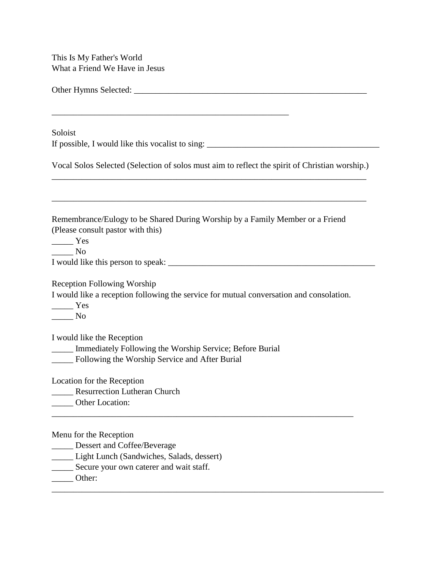This Is My Father's World What a Friend We Have in Jesus

| Soloist                                                                                                                                                                       |  |
|-------------------------------------------------------------------------------------------------------------------------------------------------------------------------------|--|
| If possible, I would like this vocalist to sing: _______________________________                                                                                              |  |
| Vocal Solos Selected (Selection of solos must aim to reflect the spirit of Christian worship.)                                                                                |  |
| Remembrance/Eulogy to be Shared During Worship by a Family Member or a Friend<br>(Please consult pastor with this)<br>$\frac{1}{1}$ Yes<br>$\rule{1em}{0.15mm}$ No            |  |
|                                                                                                                                                                               |  |
| <b>Reception Following Worship</b><br>I would like a reception following the service for mutual conversation and consolation.<br>$\frac{1}{1}$ Yes<br>$\rule{1em}{0.15mm}$ No |  |
| I would like the Reception<br><b>_____</b> Immediately Following the Worship Service; Before Burial<br>_____ Following the Worship Service and After Burial                   |  |
| Location for the Reception<br>Resurrection Lutheran Church<br>Other Location:                                                                                                 |  |
| Menu for the Reception<br>Dessert and Coffee/Beverage<br>Light Lunch (Sandwiches, Salads, dessert)<br>Secure your own caterer and wait staff.<br>$-$ Other:                   |  |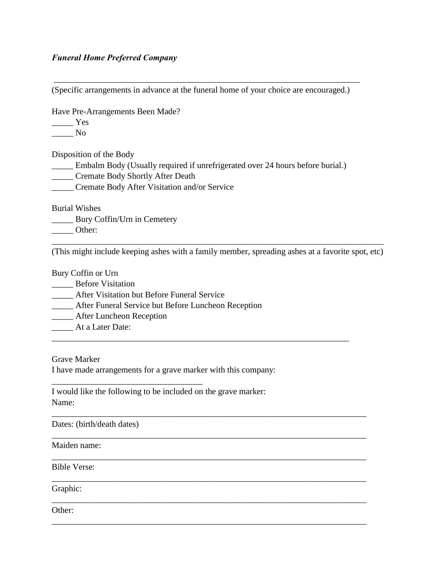## *Funeral Home Preferred Company*

(Specific arrangements in advance at the funeral home of your choice are encouraged.)

\_\_\_\_\_\_\_\_\_\_\_\_\_\_\_\_\_\_\_\_\_\_\_\_\_\_\_\_\_\_\_\_\_\_\_\_\_\_\_\_\_\_\_\_\_\_\_\_\_\_\_\_\_\_\_\_\_\_\_\_\_\_\_\_\_\_\_\_\_\_\_

Have Pre-Arrangements Been Made?

\_\_\_\_\_ Yes

\_\_\_\_\_ No

Disposition of the Body

\_\_\_\_\_ Embalm Body (Usually required if unrefrigerated over 24 hours before burial.)

\_\_\_\_\_ Cremate Body Shortly After Death

\_\_\_\_\_ Cremate Body After Visitation and/or Service

Burial Wishes

\_\_\_\_\_ Bury Coffin/Urn in Cemetery

\_\_\_\_\_ Other:

\_\_\_\_\_\_\_\_\_\_\_\_\_\_\_\_\_\_\_\_\_\_\_\_\_\_\_\_\_\_\_\_\_\_\_\_\_\_\_\_\_\_\_\_\_\_\_\_\_\_\_\_\_\_\_\_\_\_\_\_\_\_\_\_\_\_\_\_\_\_\_\_\_\_\_\_\_ (This might include keeping ashes with a family member, spreading ashes at a favorite spot, etc)

\_\_\_\_\_\_\_\_\_\_\_\_\_\_\_\_\_\_\_\_\_\_\_\_\_\_\_\_\_\_\_\_\_\_\_\_\_\_\_\_\_\_\_\_\_\_\_\_\_\_\_\_\_\_\_\_\_\_\_\_\_\_\_\_\_\_\_\_\_

\_\_\_\_\_\_\_\_\_\_\_\_\_\_\_\_\_\_\_\_\_\_\_\_\_\_\_\_\_\_\_\_\_\_\_\_\_\_\_\_\_\_\_\_\_\_\_\_\_\_\_\_\_\_\_\_\_\_\_\_\_\_\_\_\_\_\_\_\_\_\_\_\_

\_\_\_\_\_\_\_\_\_\_\_\_\_\_\_\_\_\_\_\_\_\_\_\_\_\_\_\_\_\_\_\_\_\_\_\_\_\_\_\_\_\_\_\_\_\_\_\_\_\_\_\_\_\_\_\_\_\_\_\_\_\_\_\_\_\_\_\_\_\_\_\_\_

\_\_\_\_\_\_\_\_\_\_\_\_\_\_\_\_\_\_\_\_\_\_\_\_\_\_\_\_\_\_\_\_\_\_\_\_\_\_\_\_\_\_\_\_\_\_\_\_\_\_\_\_\_\_\_\_\_\_\_\_\_\_\_\_\_\_\_\_\_\_\_\_\_

\_\_\_\_\_\_\_\_\_\_\_\_\_\_\_\_\_\_\_\_\_\_\_\_\_\_\_\_\_\_\_\_\_\_\_\_\_\_\_\_\_\_\_\_\_\_\_\_\_\_\_\_\_\_\_\_\_\_\_\_\_\_\_\_\_\_\_\_\_\_\_\_\_

\_\_\_\_\_\_\_\_\_\_\_\_\_\_\_\_\_\_\_\_\_\_\_\_\_\_\_\_\_\_\_\_\_\_\_\_\_\_\_\_\_\_\_\_\_\_\_\_\_\_\_\_\_\_\_\_\_\_\_\_\_\_\_\_\_\_\_\_\_\_\_\_\_

\_\_\_\_\_\_\_\_\_\_\_\_\_\_\_\_\_\_\_\_\_\_\_\_\_\_\_\_\_\_\_\_\_\_\_\_\_\_\_\_\_\_\_\_\_\_\_\_\_\_\_\_\_\_\_\_\_\_\_\_\_\_\_\_\_\_\_\_\_\_\_\_\_

Bury Coffin or Urn

- **\_\_\_\_\_** Before Visitation
- \_\_\_\_\_ After Visitation but Before Funeral Service

\_\_\_\_\_\_\_\_\_\_\_\_\_\_\_\_\_\_\_\_\_\_\_\_\_\_\_\_\_\_\_\_\_\_\_

- \_\_\_\_\_ After Funeral Service but Before Luncheon Reception
- \_\_\_\_\_ After Luncheon Reception
- \_\_\_\_\_ At a Later Date:

Grave Marker

I have made arrangements for a grave marker with this company:

I would like the following to be included on the grave marker: Name:

Dates: (birth/death dates)

## Maiden name:

Bible Verse:

Graphic:

Other: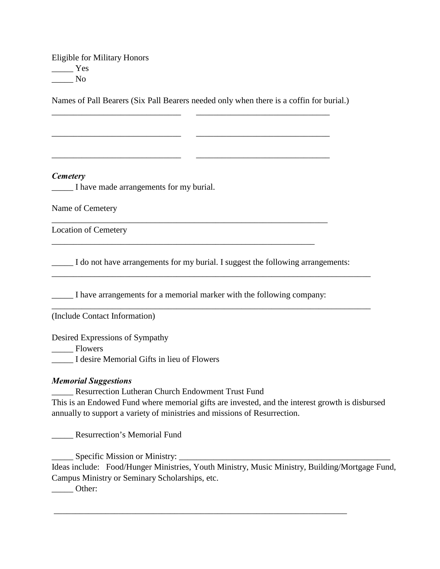Eligible for Military Honors \_\_\_\_\_ Yes \_\_\_\_\_ No

Names of Pall Bearers (Six Pall Bearers needed only when there is a coffin for burial.)

\_\_\_\_\_\_\_\_\_\_\_\_\_\_\_\_\_\_\_\_\_\_\_\_\_\_\_\_\_\_ \_\_\_\_\_\_\_\_\_\_\_\_\_\_\_\_\_\_\_\_\_\_\_\_\_\_\_\_\_\_\_

\_\_\_\_\_\_\_\_\_\_\_\_\_\_\_\_\_\_\_\_\_\_\_\_\_\_\_\_\_\_ \_\_\_\_\_\_\_\_\_\_\_\_\_\_\_\_\_\_\_\_\_\_\_\_\_\_\_\_\_\_\_

\_\_\_\_\_\_\_\_\_\_\_\_\_\_\_\_\_\_\_\_\_\_\_\_\_\_\_\_\_\_ \_\_\_\_\_\_\_\_\_\_\_\_\_\_\_\_\_\_\_\_\_\_\_\_\_\_\_\_\_\_\_

\_\_\_\_\_\_\_\_\_\_\_\_\_\_\_\_\_\_\_\_\_\_\_\_\_\_\_\_\_\_\_\_\_\_\_\_\_\_\_\_\_\_\_\_\_\_\_\_\_\_\_\_\_\_\_\_\_\_\_\_\_\_\_\_

\_\_\_\_\_\_\_\_\_\_\_\_\_\_\_\_\_\_\_\_\_\_\_\_\_\_\_\_\_\_\_\_\_\_\_\_\_\_\_\_\_\_\_\_\_\_\_\_\_\_\_\_\_\_\_\_\_\_\_\_\_

#### *Cemetery*

\_\_\_\_\_ I have made arrangements for my burial.

Name of Cemetery

Location of Cemetery

\_\_\_\_\_ I do not have arrangements for my burial. I suggest the following arrangements:

\_\_\_\_\_\_\_\_\_\_\_\_\_\_\_\_\_\_\_\_\_\_\_\_\_\_\_\_\_\_\_\_\_\_\_\_\_\_\_\_\_\_\_\_\_\_\_\_\_\_\_\_\_\_\_\_\_\_\_\_\_\_\_\_\_\_\_\_\_\_\_\_\_\_

\_\_\_\_\_\_\_\_\_\_\_\_\_\_\_\_\_\_\_\_\_\_\_\_\_\_\_\_\_\_\_\_\_\_\_\_\_\_\_\_\_\_\_\_\_\_\_\_\_\_\_\_\_\_\_\_\_\_\_\_\_\_\_\_\_\_\_\_\_\_\_\_\_\_

\_\_\_\_\_ I have arrangements for a memorial marker with the following company:

(Include Contact Information)

Desired Expressions of Sympathy

Flowers

\_\_\_\_\_ I desire Memorial Gifts in lieu of Flowers

#### *Memorial Suggestions*

\_\_\_\_\_ Resurrection Lutheran Church Endowment Trust Fund

This is an Endowed Fund where memorial gifts are invested, and the interest growth is disbursed annually to support a variety of ministries and missions of Resurrection.

\_\_\_\_\_ Resurrection's Memorial Fund

\_\_\_\_\_ Specific Mission or Ministry: \_\_\_\_\_\_\_\_\_\_\_\_\_\_\_\_\_\_\_\_\_\_\_\_\_\_\_\_\_\_\_\_\_\_\_\_\_\_\_\_\_\_\_\_\_\_\_\_\_

Ideas include: Food/Hunger Ministries, Youth Ministry, Music Ministry, Building/Mortgage Fund, Campus Ministry or Seminary Scholarships, etc.

\_\_\_\_\_\_\_\_\_\_\_\_\_\_\_\_\_\_\_\_\_\_\_\_\_\_\_\_\_\_\_\_\_\_\_\_\_\_\_\_\_\_\_\_\_\_\_\_\_\_\_\_\_\_\_\_\_\_\_\_\_\_\_\_\_\_\_\_

 $\rule{1em}{0}$  Other: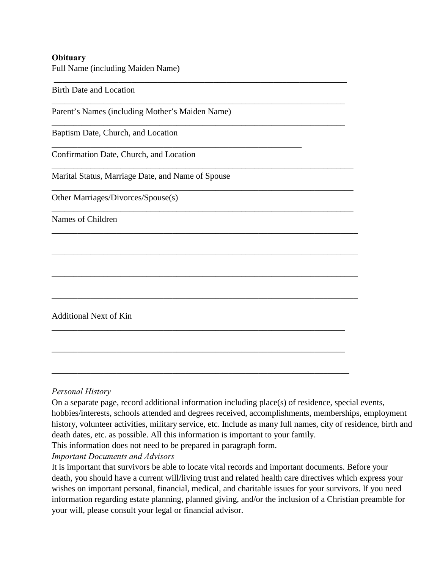### **Obituary**

Full Name (including Maiden Name)

 \_\_\_\_\_\_\_\_\_\_\_\_\_\_\_\_\_\_\_\_\_\_\_\_\_\_\_\_\_\_\_\_\_\_\_\_\_\_\_\_\_\_\_\_\_\_\_\_\_\_\_\_\_\_\_\_\_\_\_\_\_\_\_\_\_\_\_\_ Birth Date and Location \_\_\_\_\_\_\_\_\_\_\_\_\_\_\_\_\_\_\_\_\_\_\_\_\_\_\_\_\_\_\_\_\_\_\_\_\_\_\_\_\_\_\_\_\_\_\_\_\_\_\_\_\_\_\_\_\_\_\_\_\_\_\_\_\_\_\_\_ Parent's Names (including Mother's Maiden Name) \_\_\_\_\_\_\_\_\_\_\_\_\_\_\_\_\_\_\_\_\_\_\_\_\_\_\_\_\_\_\_\_\_\_\_\_\_\_\_\_\_\_\_\_\_\_\_\_\_\_\_\_\_\_\_\_\_\_\_\_\_\_\_\_\_\_\_\_ Baptism Date, Church, and Location \_\_\_\_\_\_\_\_\_\_\_\_\_\_\_\_\_\_\_\_\_\_\_\_\_\_\_\_\_\_\_\_\_\_\_\_\_\_\_\_\_\_\_\_\_\_\_\_\_\_\_\_\_\_\_\_\_\_ Confirmation Date, Church, and Location \_\_\_\_\_\_\_\_\_\_\_\_\_\_\_\_\_\_\_\_\_\_\_\_\_\_\_\_\_\_\_\_\_\_\_\_\_\_\_\_\_\_\_\_\_\_\_\_\_\_\_\_\_\_\_\_\_\_\_\_\_\_\_\_\_\_\_\_\_\_ Marital Status, Marriage Date, and Name of Spouse \_\_\_\_\_\_\_\_\_\_\_\_\_\_\_\_\_\_\_\_\_\_\_\_\_\_\_\_\_\_\_\_\_\_\_\_\_\_\_\_\_\_\_\_\_\_\_\_\_\_\_\_\_\_\_\_\_\_\_\_\_\_\_\_\_\_\_\_\_\_ Other Marriages/Divorces/Spouse(s) \_\_\_\_\_\_\_\_\_\_\_\_\_\_\_\_\_\_\_\_\_\_\_\_\_\_\_\_\_\_\_\_\_\_\_\_\_\_\_\_\_\_\_\_\_\_\_\_\_\_\_\_\_\_\_\_\_\_\_\_\_\_\_\_\_\_\_\_\_\_ Names of Children \_\_\_\_\_\_\_\_\_\_\_\_\_\_\_\_\_\_\_\_\_\_\_\_\_\_\_\_\_\_\_\_\_\_\_\_\_\_\_\_\_\_\_\_\_\_\_\_\_\_\_\_\_\_\_\_\_\_\_\_\_\_\_\_\_\_\_\_\_\_\_ \_\_\_\_\_\_\_\_\_\_\_\_\_\_\_\_\_\_\_\_\_\_\_\_\_\_\_\_\_\_\_\_\_\_\_\_\_\_\_\_\_\_\_\_\_\_\_\_\_\_\_\_\_\_\_\_\_\_\_\_\_\_\_\_\_\_\_\_\_\_\_ \_\_\_\_\_\_\_\_\_\_\_\_\_\_\_\_\_\_\_\_\_\_\_\_\_\_\_\_\_\_\_\_\_\_\_\_\_\_\_\_\_\_\_\_\_\_\_\_\_\_\_\_\_\_\_\_\_\_\_\_\_\_\_\_\_\_\_\_\_\_\_ \_\_\_\_\_\_\_\_\_\_\_\_\_\_\_\_\_\_\_\_\_\_\_\_\_\_\_\_\_\_\_\_\_\_\_\_\_\_\_\_\_\_\_\_\_\_\_\_\_\_\_\_\_\_\_\_\_\_\_\_\_\_\_\_\_\_\_\_\_\_\_ Additional Next of Kin \_\_\_\_\_\_\_\_\_\_\_\_\_\_\_\_\_\_\_\_\_\_\_\_\_\_\_\_\_\_\_\_\_\_\_\_\_\_\_\_\_\_\_\_\_\_\_\_\_\_\_\_\_\_\_\_\_\_\_\_\_\_\_\_\_\_\_\_

\_\_\_\_\_\_\_\_\_\_\_\_\_\_\_\_\_\_\_\_\_\_\_\_\_\_\_\_\_\_\_\_\_\_\_\_\_\_\_\_\_\_\_\_\_\_\_\_\_\_\_\_\_\_\_\_\_\_\_\_\_\_\_\_\_\_\_\_

\_\_\_\_\_\_\_\_\_\_\_\_\_\_\_\_\_\_\_\_\_\_\_\_\_\_\_\_\_\_\_\_\_\_\_\_\_\_\_\_\_\_\_\_\_\_\_\_\_\_\_\_\_\_\_\_\_\_\_\_\_\_\_\_\_\_\_\_\_

### *Personal History*

On a separate page, record additional information including place(s) of residence, special events, hobbies/interests, schools attended and degrees received, accomplishments, memberships, employment history, volunteer activities, military service, etc. Include as many full names, city of residence, birth and death dates, etc. as possible. All this information is important to your family.

This information does not need to be prepared in paragraph form.

*Important Documents and Advisors*

It is important that survivors be able to locate vital records and important documents. Before your death, you should have a current will/living trust and related health care directives which express your wishes on important personal, financial, medical, and charitable issues for your survivors. If you need information regarding estate planning, planned giving, and/or the inclusion of a Christian preamble for your will, please consult your legal or financial advisor.